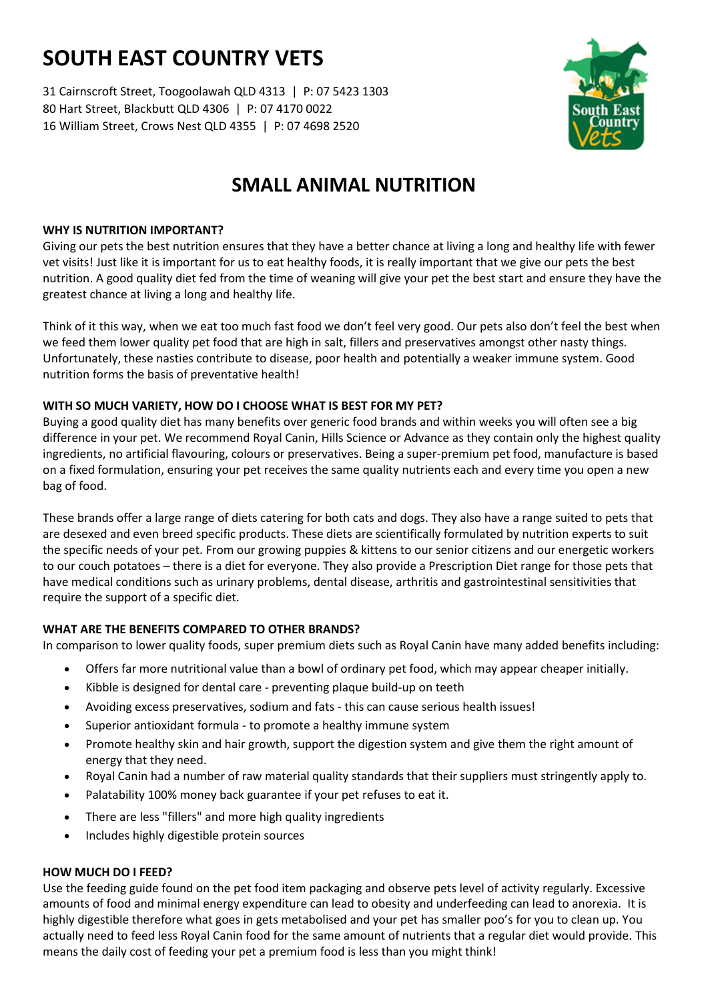# **SOUTH EAST COUNTRY VETS**

31 Cairnscroft Street, Toogoolawah QLD 4313 | P: 07 5423 1303 80 Hart Street, Blackbutt QLD 4306 | P: 07 4170 0022 16 William Street, Crows Nest QLD 4355 | P: 07 4698 2520



# **SMALL ANIMAL NUTRITION**

# **WHY IS NUTRITION IMPORTANT?**

Giving our pets the best nutrition ensures that they have a better chance at living a long and healthy life with fewer vet visits! Just like it is important for us to eat healthy foods, it is really important that we give our pets the best nutrition. A good quality diet fed from the time of weaning will give your pet the best start and ensure they have the greatest chance at living a long and healthy life.

Think of it this way, when we eat too much fast food we don't feel very good. Our pets also don't feel the best when we feed them lower quality pet food that are high in salt, fillers and preservatives amongst other nasty things. Unfortunately, these nasties contribute to disease, poor health and potentially a weaker immune system. Good nutrition forms the basis of preventative health!

# **WITH SO MUCH VARIETY, HOW DO I CHOOSE WHAT IS BEST FOR MY PET?**

Buying a good quality diet has many benefits over generic food brands and within weeks you will often see a big difference in your pet. We recommend Royal Canin, Hills Science or Advance as they contain only the highest quality ingredients, no artificial flavouring, colours or preservatives. Being a super-premium pet food, manufacture is based on a fixed formulation, ensuring your pet receives the same quality nutrients each and every time you open a new bag of food.

These brands offer a large range of diets catering for both cats and dogs. They also have a range suited to pets that are desexed and even breed specific products. These diets are scientifically formulated by nutrition experts to suit the specific needs of your pet. From our growing puppies & kittens to our senior citizens and our energetic workers to our couch potatoes – there is a diet for everyone. They also provide a Prescription Diet range for those pets that have medical conditions such as urinary problems, dental disease, arthritis and gastrointestinal sensitivities that require the support of a specific diet.

# **WHAT ARE THE BENEFITS COMPARED TO OTHER BRANDS?**

In comparison to lower quality foods, super premium diets such as Royal Canin have many added benefits including:

- Offers far more nutritional value than a bowl of ordinary pet food, which may appear cheaper initially.
- Kibble is designed for dental care preventing plaque build-up on teeth
- Avoiding excess preservatives, sodium and fats this can cause serious health issues!
- Superior antioxidant formula to promote a healthy immune system
- Promote healthy skin and hair growth, support the digestion system and give them the right amount of energy that they need.
- Royal Canin had a number of raw material quality standards that their suppliers must stringently apply to.
- Palatability 100% money back guarantee if your pet refuses to eat it.
- There are less "fillers" and more high quality ingredients
- Includes highly digestible protein sources

### **HOW MUCH DO I FEED?**

Use the feeding guide found on the pet food item packaging and observe pets level of activity regularly. Excessive amounts of food and minimal energy expenditure can lead to obesity and underfeeding can lead to anorexia. It is highly digestible therefore what goes in gets metabolised and your pet has smaller poo's for you to clean up. You actually need to feed less Royal Canin food for the same amount of nutrients that a regular diet would provide. This means the daily cost of feeding your pet a premium food is less than you might think!